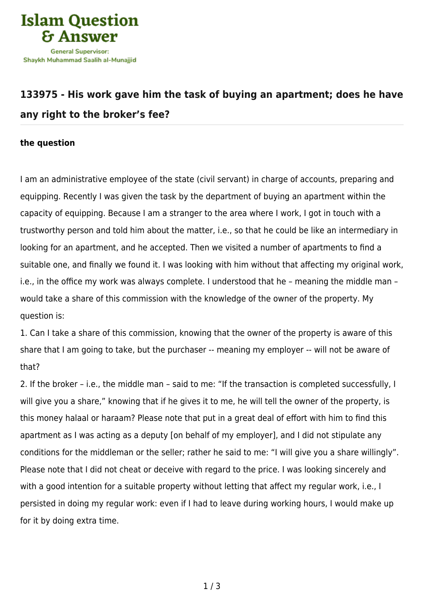

## **[133975 - His work gave him the task of buying an apartment; does he have](https://islamqa.com/en/answers/133975/his-work-gave-him-the-task-of-buying-an-apartment-does-he-have-any-right-to-the-brokers-fee) [any right to the broker's fee?](https://islamqa.com/en/answers/133975/his-work-gave-him-the-task-of-buying-an-apartment-does-he-have-any-right-to-the-brokers-fee)**

## **the question**

I am an administrative employee of the state (civil servant) in charge of accounts, preparing and equipping. Recently I was given the task by the department of buying an apartment within the capacity of equipping. Because I am a stranger to the area where I work, I got in touch with a trustworthy person and told him about the matter, i.e., so that he could be like an intermediary in looking for an apartment, and he accepted. Then we visited a number of apartments to find a suitable one, and finally we found it. I was looking with him without that affecting my original work, i.e., in the office my work was always complete. I understood that he – meaning the middle man – would take a share of this commission with the knowledge of the owner of the property. My question is:

1. Can I take a share of this commission, knowing that the owner of the property is aware of this share that I am going to take, but the purchaser -- meaning my employer -- will not be aware of that?

2. If the broker – i.e., the middle man – said to me: "If the transaction is completed successfully, I will give you a share," knowing that if he gives it to me, he will tell the owner of the property, is this money halaal or haraam? Please note that put in a great deal of effort with him to find this apartment as I was acting as a deputy [on behalf of my employer], and I did not stipulate any conditions for the middleman or the seller; rather he said to me: "I will give you a share willingly". Please note that I did not cheat or deceive with regard to the price. I was looking sincerely and with a good intention for a suitable property without letting that affect my regular work, i.e., I persisted in doing my regular work: even if I had to leave during working hours, I would make up for it by doing extra time.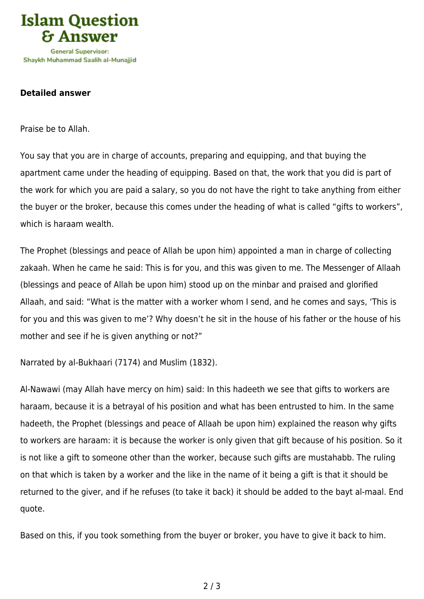

## **Detailed answer**

Praise be to Allah.

You say that you are in charge of accounts, preparing and equipping, and that buying the apartment came under the heading of equipping. Based on that, the work that you did is part of the work for which you are paid a salary, so you do not have the right to take anything from either the buyer or the broker, because this comes under the heading of what is called "gifts to workers", which is haraam wealth.

The Prophet (blessings and peace of Allah be upon him) appointed a man in charge of collecting zakaah. When he came he said: This is for you, and this was given to me. The Messenger of Allaah (blessings and peace of Allah be upon him) stood up on the minbar and praised and glorified Allaah, and said: "What is the matter with a worker whom I send, and he comes and says, 'This is for you and this was given to me'? Why doesn't he sit in the house of his father or the house of his mother and see if he is given anything or not?"

Narrated by al-Bukhaari (7174) and Muslim (1832).

Al-Nawawi (may Allah have mercy on him) said: In this hadeeth we see that gifts to workers are haraam, because it is a betrayal of his position and what has been entrusted to him. In the same hadeeth, the Prophet (blessings and peace of Allaah be upon him) explained the reason why gifts to workers are haraam: it is because the worker is only given that gift because of his position. So it is not like a gift to someone other than the worker, because such gifts are mustahabb. The ruling on that which is taken by a worker and the like in the name of it being a gift is that it should be returned to the giver, and if he refuses (to take it back) it should be added to the bayt al-maal. End quote.

Based on this, if you took something from the buyer or broker, you have to give it back to him.